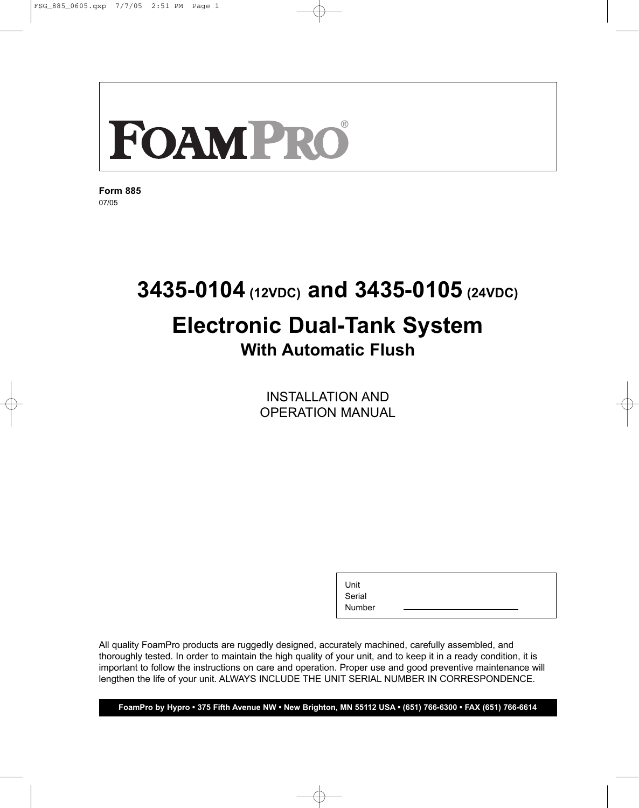**Form 885** 07/05

## **3435-0104 (12VDC) and 3435-0105 (24VDC) Electronic Dual-Tank System With Automatic Flush**

INSTALLATION AND OPERATION MANUAL

Unit

Serial Number

All quality FoamPro products are ruggedly designed, accurately machined, carefully assembled, and thoroughly tested. In order to maintain the high quality of your unit, and to keep it in a ready condition, it is important to follow the instructions on care and operation. Proper use and good preventive maintenance will lengthen the life of your unit. ALWAYS INCLUDE THE UNIT SERIAL NUMBER IN CORRESPONDENCE.

**FoamPro by Hypro • 375 Fifth Avenue NW • New Brighton, MN 55112 USA • (651) 766-6300 • FAX (651) 766-6614**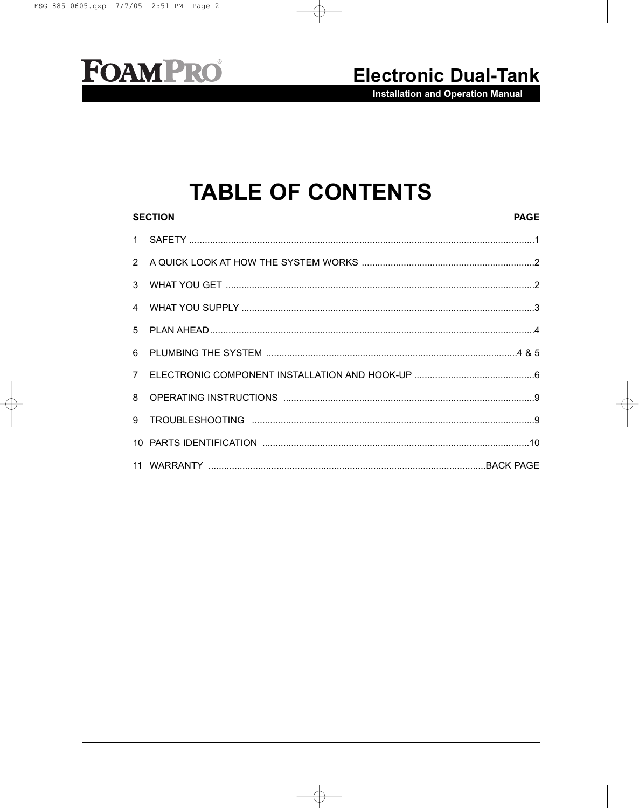### **Electronic Dual-Tank**

**Installation and Operation Manual** 

## **TABLE OF CONTENTS**

| <b>SECTION</b><br><b>PAGE</b> |  |  |
|-------------------------------|--|--|
|                               |  |  |
|                               |  |  |
| $\mathbf{3}$                  |  |  |
|                               |  |  |
|                               |  |  |
|                               |  |  |
|                               |  |  |
| 8                             |  |  |
|                               |  |  |
|                               |  |  |
|                               |  |  |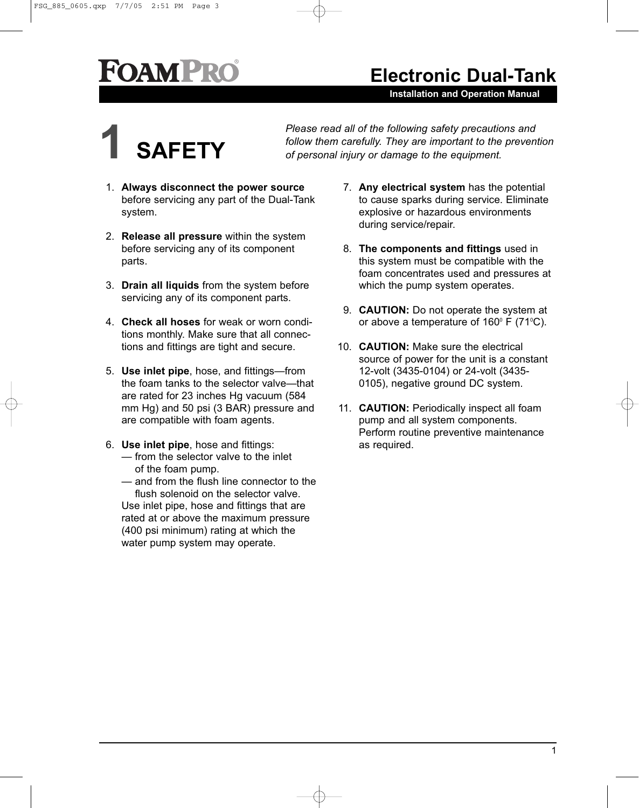**Installation and Operation Manual**



*Please read all of the following safety precautions and follow them carefully. They are important to the prevention* **1** *of personal injury or damage to the equipment.*

- 1. **Always disconnect the power source** before servicing any part of the Dual-Tank system.
- 2. **Release all pressure** within the system before servicing any of its component parts.
- 3. **Drain all liquids** from the system before servicing any of its component parts.
- 4. **Check all hoses** for weak or worn conditions monthly. Make sure that all connections and fittings are tight and secure.
- 5. **Use inlet pipe**, hose, and fittings—from the foam tanks to the selector valve—that are rated for 23 inches Hg vacuum (584 mm Hg) and 50 psi (3 BAR) pressure and are compatible with foam agents.
- 6. **Use inlet pipe**, hose and fittings: — from the selector valve to the inlet of the foam pump.
	- and from the flush line connector to the flush solenoid on the selector valve.

Use inlet pipe, hose and fittings that are rated at or above the maximum pressure (400 psi minimum) rating at which the water pump system may operate.

- 7. **Any electrical system** has the potential to cause sparks during service. Eliminate explosive or hazardous environments during service/repair.
- 8. **The components and fittings** used in this system must be compatible with the foam concentrates used and pressures at which the pump system operates.
- 9. **CAUTION:** Do not operate the system at or above a temperature of  $160^{\circ}$  F (71 $^{\circ}$ C).
- 10. **CAUTION:** Make sure the electrical source of power for the unit is a constant 12-volt (3435-0104) or 24-volt (3435- 0105), negative ground DC system.
- 11. **CAUTION:** Periodically inspect all foam pump and all system components. Perform routine preventive maintenance as required.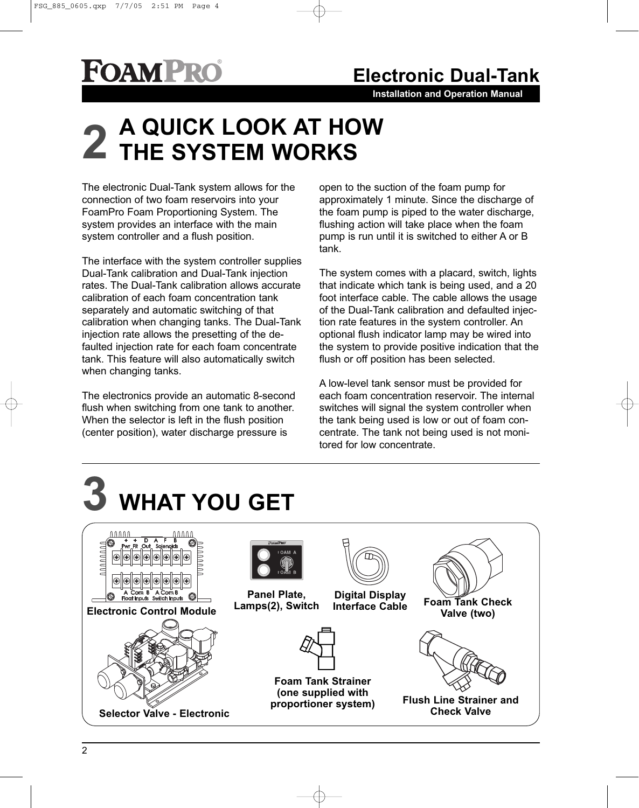## **Electronic Dual-Tank**

**Installation and Operation Manual**

# **A QUICK LOOK AT HOW 2 THE SYSTEM WORKS**

The electronic Dual-Tank system allows for the connection of two foam reservoirs into your FoamPro Foam Proportioning System. The system provides an interface with the main system controller and a flush position.

The interface with the system controller supplies Dual-Tank calibration and Dual-Tank injection rates. The Dual-Tank calibration allows accurate calibration of each foam concentration tank separately and automatic switching of that calibration when changing tanks. The Dual-Tank injection rate allows the presetting of the defaulted injection rate for each foam concentrate tank. This feature will also automatically switch when changing tanks.

The electronics provide an automatic 8-second flush when switching from one tank to another. When the selector is left in the flush position (center position), water discharge pressure is

open to the suction of the foam pump for approximately 1 minute. Since the discharge of the foam pump is piped to the water discharge, flushing action will take place when the foam pump is run until it is switched to either A or B tank.

The system comes with a placard, switch, lights that indicate which tank is being used, and a 20 foot interface cable. The cable allows the usage of the Dual-Tank calibration and defaulted injection rate features in the system controller. An optional flush indicator lamp may be wired into the system to provide positive indication that the flush or off position has been selected.

A low-level tank sensor must be provided for each foam concentration reservoir. The internal switches will signal the system controller when the tank being used is low or out of foam concentrate. The tank not being used is not monitored for low concentrate.



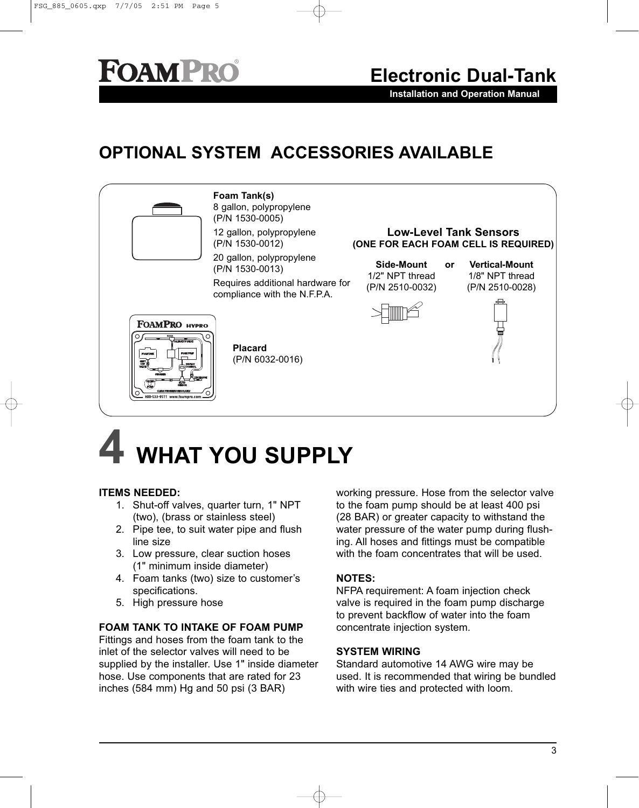**Installation and Operation Manual**

### **OPTIONAL SYSTEM ACCESSORIES AVAILABLE**



# **4 WHAT YOU SUPPLY**

#### **ITEMS NEEDED:**

- 1. Shut-off valves, quarter turn, 1" NPT (two), (brass or stainless steel)
- 2. Pipe tee, to suit water pipe and flush line size
- 3. Low pressure, clear suction hoses (1" minimum inside diameter)
- 4. Foam tanks (two) size to customer's specifications.
- 5. High pressure hose

#### **FOAM TANK TO INTAKE OF FOAM PUMP**

Fittings and hoses from the foam tank to the inlet of the selector valves will need to be supplied by the installer. Use 1" inside diameter hose. Use components that are rated for 23 inches (584 mm) Hg and 50 psi (3 BAR)

working pressure. Hose from the selector valve to the foam pump should be at least 400 psi (28 BAR) or greater capacity to withstand the water pressure of the water pump during flushing. All hoses and fittings must be compatible with the foam concentrates that will be used.

#### **NOTES:**

NFPA requirement: A foam injection check valve is required in the foam pump discharge to prevent backflow of water into the foam concentrate injection system.

#### **SYSTEM WIRING**

Standard automotive 14 AWG wire may be used. It is recommended that wiring be bundled with wire ties and protected with loom.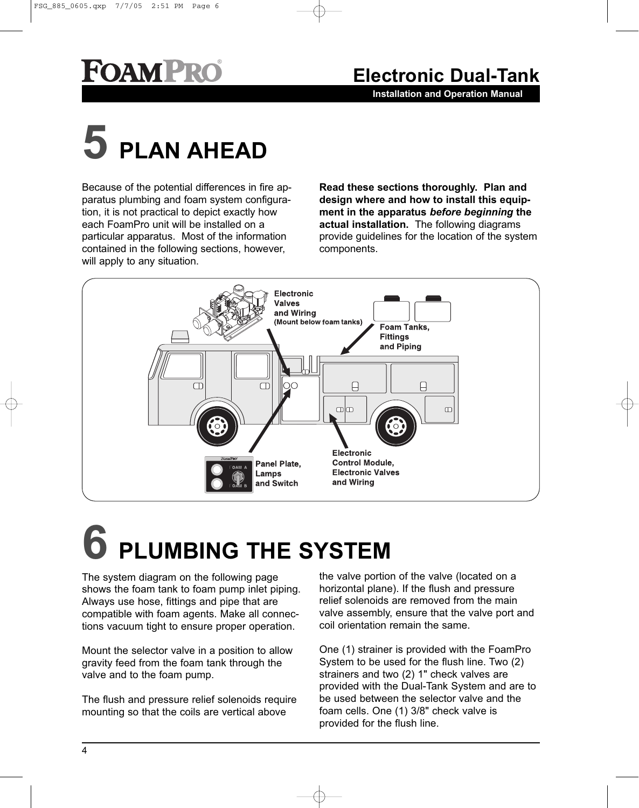**Installation and Operation Manual**

# **5 PLAN AHEAD**

Because of the potential differences in fire apparatus plumbing and foam system configuration, it is not practical to depict exactly how each FoamPro unit will be installed on a particular apparatus. Most of the information contained in the following sections, however, will apply to any situation.

**Read these sections thoroughly. Plan and design where and how to install this equipment in the apparatus** *before beginning* **the actual installation.** The following diagrams provide guidelines for the location of the system components.



# **6 PLUMBING THE SYSTEM**

The system diagram on the following page shows the foam tank to foam pump inlet piping. Always use hose, fittings and pipe that are compatible with foam agents. Make all connections vacuum tight to ensure proper operation.

Mount the selector valve in a position to allow gravity feed from the foam tank through the valve and to the foam pump.

The flush and pressure relief solenoids require mounting so that the coils are vertical above

the valve portion of the valve (located on a horizontal plane). If the flush and pressure relief solenoids are removed from the main valve assembly, ensure that the valve port and coil orientation remain the same.

One (1) strainer is provided with the FoamPro System to be used for the flush line. Two (2) strainers and two (2) 1" check valves are provided with the Dual-Tank System and are to be used between the selector valve and the foam cells. One (1) 3/8" check valve is provided for the flush line.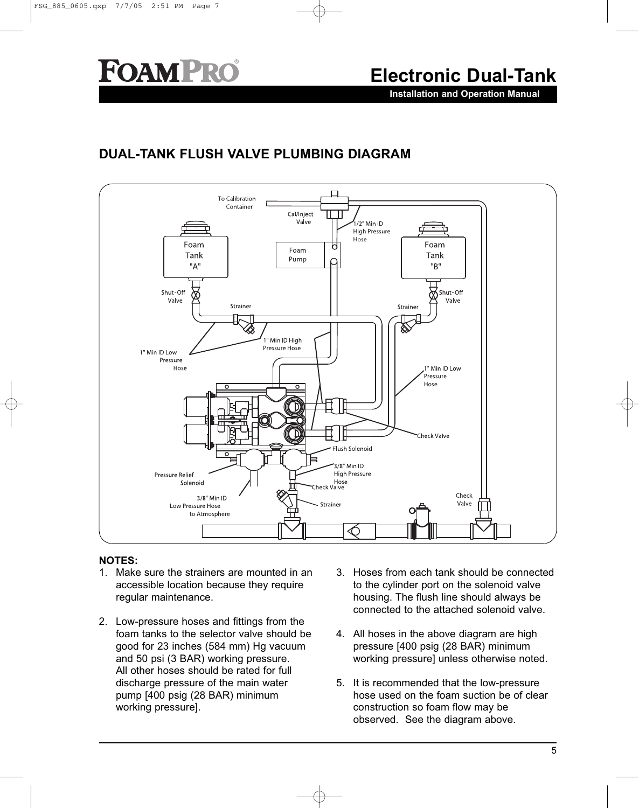#### **Electronic Dual-Tank**

**Installation and Operation Manual**

#### **DUAL-TANK FLUSH VALVE PLUMBING DIAGRAM**



#### **NOTES:**

- 1. Make sure the strainers are mounted in an accessible location because they require regular maintenance.
- 2. Low-pressure hoses and fittings from the foam tanks to the selector valve should be good for 23 inches (584 mm) Hg vacuum and 50 psi (3 BAR) working pressure. All other hoses should be rated for full discharge pressure of the main water pump [400 psig (28 BAR) minimum working pressure].
- 3. Hoses from each tank should be connected to the cylinder port on the solenoid valve housing. The flush line should always be connected to the attached solenoid valve.
- 4. All hoses in the above diagram are high pressure [400 psig (28 BAR) minimum working pressure] unless otherwise noted.
- 5. It is recommended that the low-pressure hose used on the foam suction be of clear construction so foam flow may be observed. See the diagram above.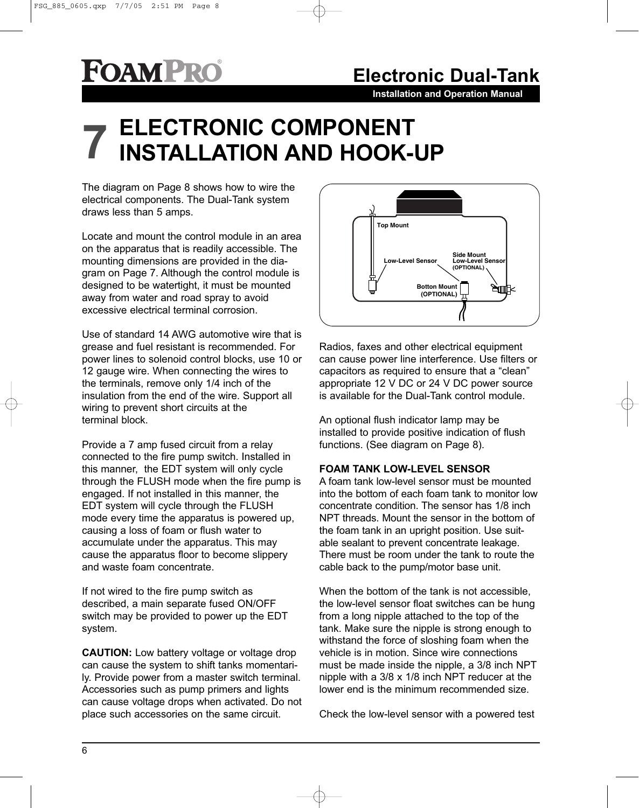## **Electronic Dual-Tank**

**Installation and Operation Manual**

# **ELECTRONIC COMPONENT 7 INSTALLATION AND HOOK-UP**

The diagram on Page 8 shows how to wire the electrical components. The Dual-Tank system draws less than 5 amps.

Locate and mount the control module in an area on the apparatus that is readily accessible. The mounting dimensions are provided in the diagram on Page 7. Although the control module is designed to be watertight, it must be mounted away from water and road spray to avoid excessive electrical terminal corrosion.

Use of standard 14 AWG automotive wire that is grease and fuel resistant is recommended. For power lines to solenoid control blocks, use 10 or 12 gauge wire. When connecting the wires to the terminals, remove only 1/4 inch of the insulation from the end of the wire. Support all wiring to prevent short circuits at the terminal block.

Provide a 7 amp fused circuit from a relay connected to the fire pump switch. Installed in this manner, the EDT system will only cycle through the FLUSH mode when the fire pump is engaged. If not installed in this manner, the EDT system will cycle through the FLUSH mode every time the apparatus is powered up, causing a loss of foam or flush water to accumulate under the apparatus. This may cause the apparatus floor to become slippery and waste foam concentrate.

If not wired to the fire pump switch as described, a main separate fused ON/OFF switch may be provided to power up the EDT system.

**CAUTION:** Low battery voltage or voltage drop can cause the system to shift tanks momentarily. Provide power from a master switch terminal. Accessories such as pump primers and lights can cause voltage drops when activated. Do not place such accessories on the same circuit.



Radios, faxes and other electrical equipment can cause power line interference. Use filters or capacitors as required to ensure that a "clean" appropriate 12 V DC or 24 V DC power source is available for the Dual-Tank control module.

An optional flush indicator lamp may be installed to provide positive indication of flush functions. (See diagram on Page 8).

#### **FOAM TANK LOW-LEVEL SENSOR**

A foam tank low-level sensor must be mounted into the bottom of each foam tank to monitor low concentrate condition. The sensor has 1/8 inch NPT threads. Mount the sensor in the bottom of the foam tank in an upright position. Use suitable sealant to prevent concentrate leakage. There must be room under the tank to route the cable back to the pump/motor base unit.

When the bottom of the tank is not accessible. the low-level sensor float switches can be hung from a long nipple attached to the top of the tank. Make sure the nipple is strong enough to withstand the force of sloshing foam when the vehicle is in motion. Since wire connections must be made inside the nipple, a 3/8 inch NPT nipple with a 3/8 x 1/8 inch NPT reducer at the lower end is the minimum recommended size.

Check the low-level sensor with a powered test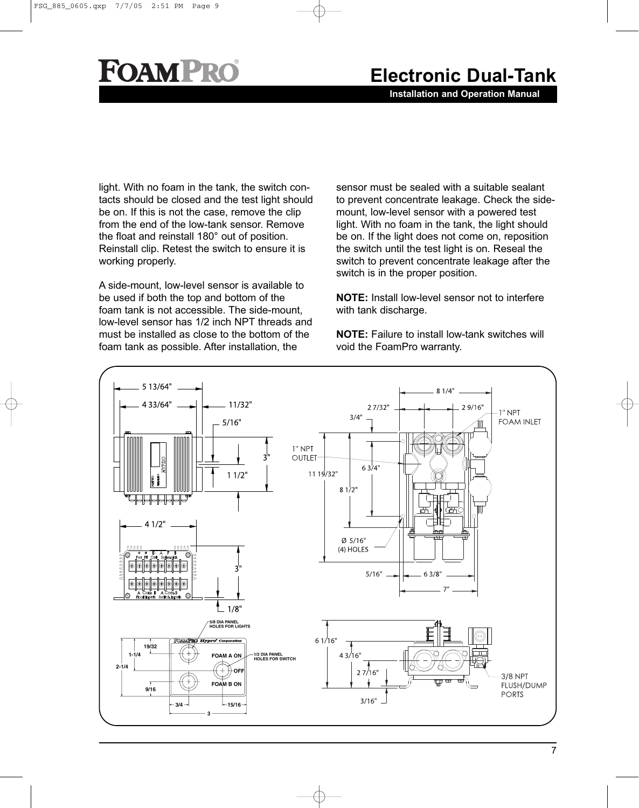### **Electronic Dual-Tank**

**Installation and Operation Manual**

light. With no foam in the tank, the switch contacts should be closed and the test light should be on. If this is not the case, remove the clip from the end of the low-tank sensor. Remove the float and reinstall 180° out of position. Reinstall clip. Retest the switch to ensure it is working properly.

A side-mount, low-level sensor is available to be used if both the top and bottom of the foam tank is not accessible. The side-mount, low-level sensor has 1/2 inch NPT threads and must be installed as close to the bottom of the foam tank as possible. After installation, the

sensor must be sealed with a suitable sealant to prevent concentrate leakage. Check the sidemount, low-level sensor with a powered test light. With no foam in the tank, the light should be on. If the light does not come on, reposition the switch until the test light is on. Reseal the switch to prevent concentrate leakage after the switch is in the proper position.

**NOTE:** Install low-level sensor not to interfere with tank discharge.

**NOTE:** Failure to install low-tank switches will void the FoamPro warranty.

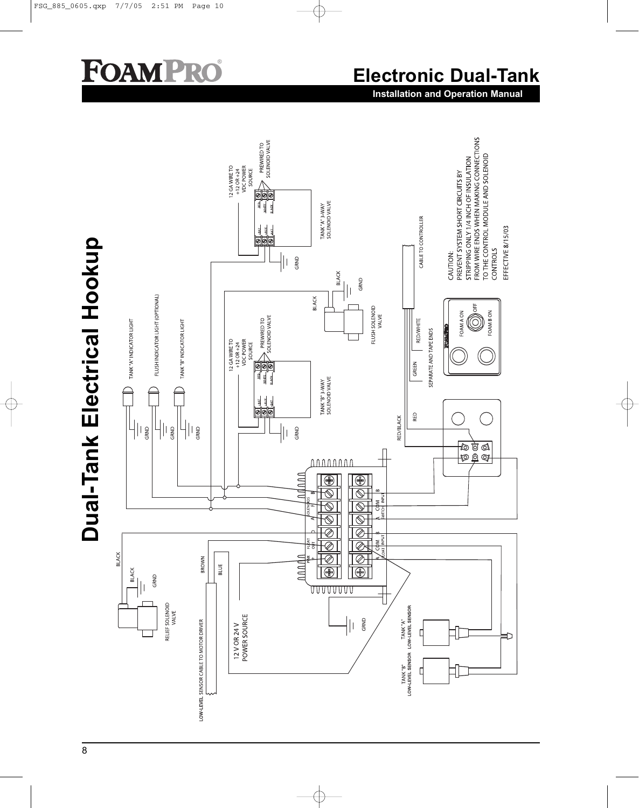## **Electronic Dual-Tank**

**Installation and Operation Manual**

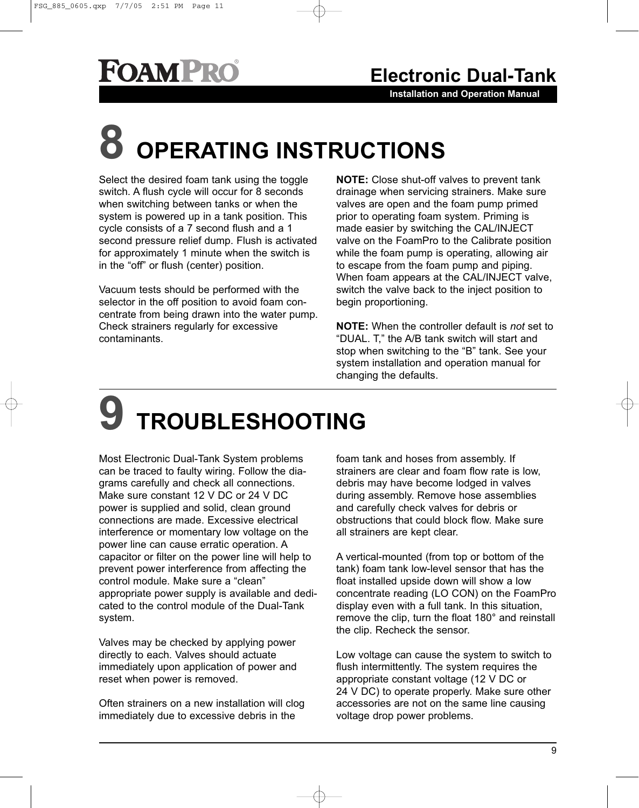**Installation and Operation Manual**

# **8 OPERATING INSTRUCTIONS**

Select the desired foam tank using the toggle switch. A flush cycle will occur for 8 seconds when switching between tanks or when the system is powered up in a tank position. This cycle consists of a 7 second flush and a 1 second pressure relief dump. Flush is activated for approximately 1 minute when the switch is in the "off" or flush (center) position.

Vacuum tests should be performed with the selector in the off position to avoid foam concentrate from being drawn into the water pump. Check strainers regularly for excessive contaminants.

**NOTE:** Close shut-off valves to prevent tank drainage when servicing strainers. Make sure valves are open and the foam pump primed prior to operating foam system. Priming is made easier by switching the CAL/INJECT valve on the FoamPro to the Calibrate position while the foam pump is operating, allowing air to escape from the foam pump and piping. When foam appears at the CAL/INJECT valve, switch the valve back to the inject position to begin proportioning.

**NOTE:** When the controller default is *not* set to "DUAL. T," the A/B tank switch will start and stop when switching to the "B" tank. See your system installation and operation manual for changing the defaults.

# **9 TROUBLESHOOTING**

Most Electronic Dual-Tank System problems can be traced to faulty wiring. Follow the diagrams carefully and check all connections. Make sure constant 12 V DC or 24 V DC power is supplied and solid, clean ground connections are made. Excessive electrical interference or momentary low voltage on the power line can cause erratic operation. A capacitor or filter on the power line will help to prevent power interference from affecting the control module. Make sure a "clean" appropriate power supply is available and dedicated to the control module of the Dual-Tank system.

Valves may be checked by applying power directly to each. Valves should actuate immediately upon application of power and reset when power is removed.

Often strainers on a new installation will clog immediately due to excessive debris in the

foam tank and hoses from assembly. If strainers are clear and foam flow rate is low, debris may have become lodged in valves during assembly. Remove hose assemblies and carefully check valves for debris or obstructions that could block flow. Make sure all strainers are kept clear.

A vertical-mounted (from top or bottom of the tank) foam tank low-level sensor that has the float installed upside down will show a low concentrate reading (LO CON) on the FoamPro display even with a full tank. In this situation, remove the clip, turn the float 180° and reinstall the clip. Recheck the sensor.

Low voltage can cause the system to switch to flush intermittently. The system requires the appropriate constant voltage (12 V DC or 24 V DC) to operate properly. Make sure other accessories are not on the same line causing voltage drop power problems.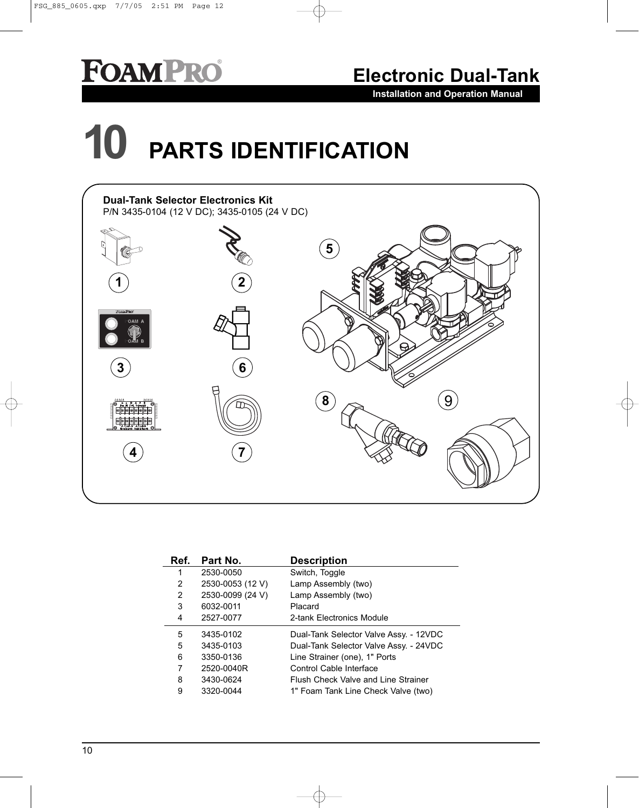**Electronic Dual-Tank**

**Installation and Operation Manual**

# **10 PARTS IDENTIFICATION**



| Ref. | Part No.         | <b>Description</b>                     |
|------|------------------|----------------------------------------|
| 1    | 2530-0050        | Switch, Toggle                         |
| 2    | 2530-0053 (12 V) | Lamp Assembly (two)                    |
| 2    | 2530-0099 (24 V) | Lamp Assembly (two)                    |
| 3    | 6032-0011        | Placard                                |
| 4    | 2527-0077        | 2-tank Electronics Module              |
| 5    | 3435-0102        | Dual-Tank Selector Valve Assy. - 12VDC |
| 5    | 3435-0103        | Dual-Tank Selector Valve Assy. - 24VDC |
| 6    | 3350-0136        | Line Strainer (one), 1" Ports          |
| 7    | 2520-0040R       | Control Cable Interface                |
| 8    | 3430-0624        | Flush Check Valve and Line Strainer    |
| 9    | 3320-0044        | 1" Foam Tank Line Check Valve (two)    |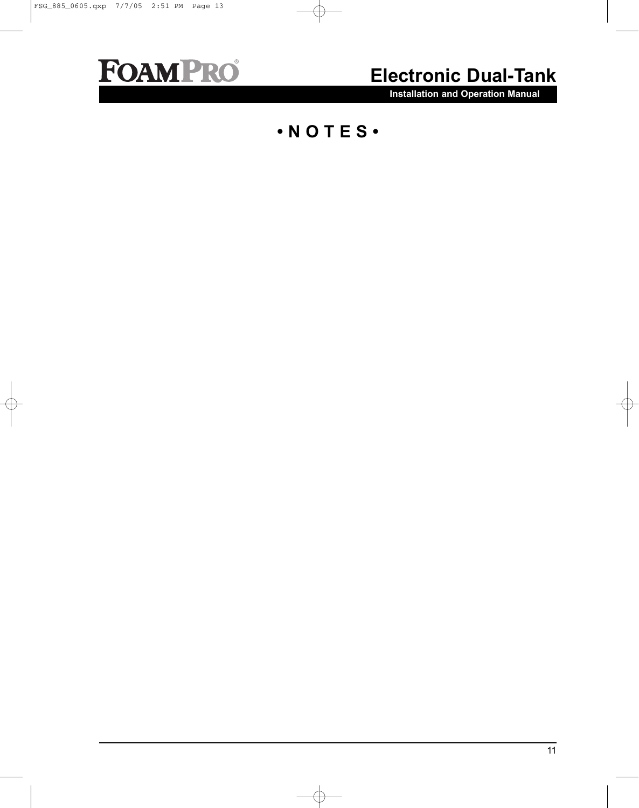

### **Electronic Dual-Tank**

**Installation and Operation Manual**

#### **• N O T E S •**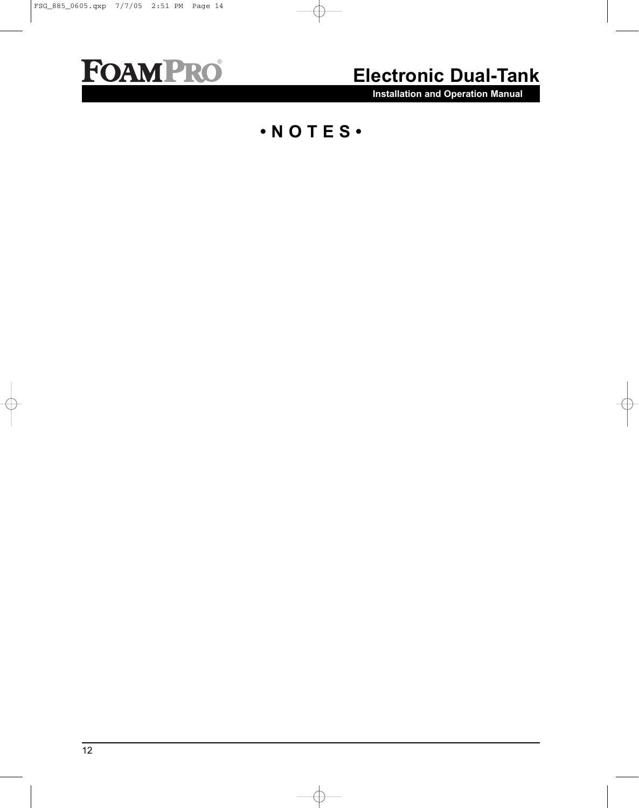

### **Electronic Dual-Tank**

**Installation and Operation Manual**

**• N O T E S •**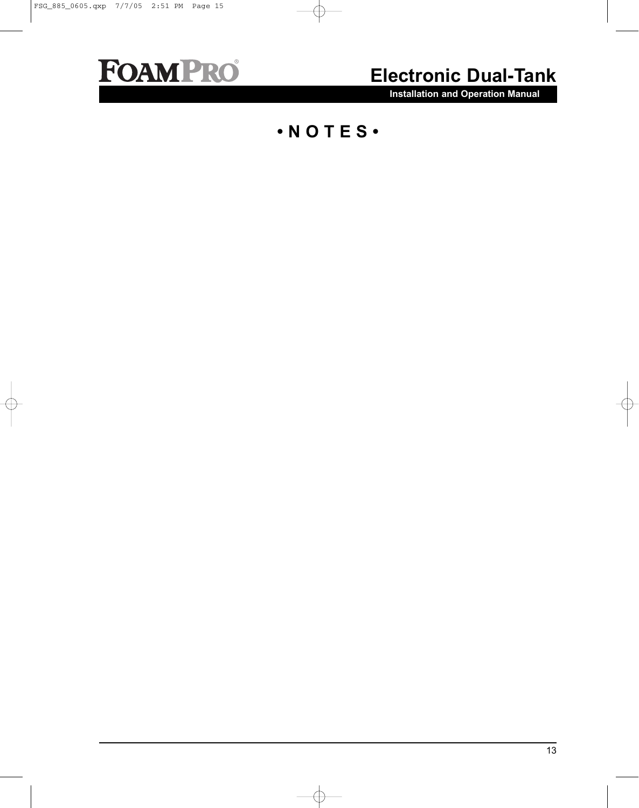

### **Electronic Dual-Tank**

**Installation and Operation Manual**

#### **• N O T E S •**